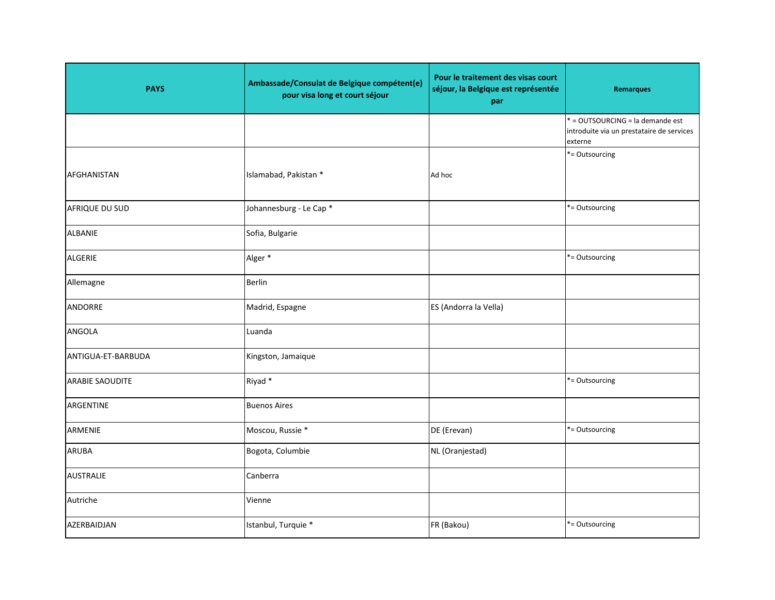| <b>PAYS</b>            | Ambassade/Consulat de Belgique compétent(e)<br>pour visa long et court séjour | Pour le traitement des visas court<br>séjour, la Belgique est représentée<br>par | <b>Remarques</b>                                                                         |
|------------------------|-------------------------------------------------------------------------------|----------------------------------------------------------------------------------|------------------------------------------------------------------------------------------|
|                        |                                                                               |                                                                                  | * = OUTSOURCING = la demande est<br>introduite via un prestataire de services<br>externe |
| AFGHANISTAN            | Islamabad, Pakistan *                                                         | Ad hoc                                                                           | *= Outsourcing                                                                           |
| AFRIQUE DU SUD         | Johannesburg - Le Cap <sup>*</sup>                                            |                                                                                  | *= Outsourcing                                                                           |
| <b>ALBANIE</b>         | Sofia, Bulgarie                                                               |                                                                                  |                                                                                          |
| <b>ALGERIE</b>         | Alger *                                                                       |                                                                                  | *= Outsourcing                                                                           |
| Allemagne              | <b>Berlin</b>                                                                 |                                                                                  |                                                                                          |
| <b>ANDORRE</b>         | Madrid, Espagne                                                               | ES (Andorra la Vella)                                                            |                                                                                          |
| ANGOLA                 | Luanda                                                                        |                                                                                  |                                                                                          |
| ANTIGUA-ET-BARBUDA     | Kingston, Jamaique                                                            |                                                                                  |                                                                                          |
| <b>ARABIE SAOUDITE</b> | Riyad *                                                                       |                                                                                  | *= Outsourcing                                                                           |
| ARGENTINE              | <b>Buenos Aires</b>                                                           |                                                                                  |                                                                                          |
| ARMENIE                | Moscou, Russie *                                                              | DE (Erevan)                                                                      | *= Outsourcing                                                                           |
| <b>ARUBA</b>           | Bogota, Columbie                                                              | NL (Oranjestad)                                                                  |                                                                                          |
| <b>AUSTRALIE</b>       | Canberra                                                                      |                                                                                  |                                                                                          |
| Autriche               | Vienne                                                                        |                                                                                  |                                                                                          |
| AZERBAIDJAN            | Istanbul, Turquie *                                                           | FR (Bakou)                                                                       | *= Outsourcing                                                                           |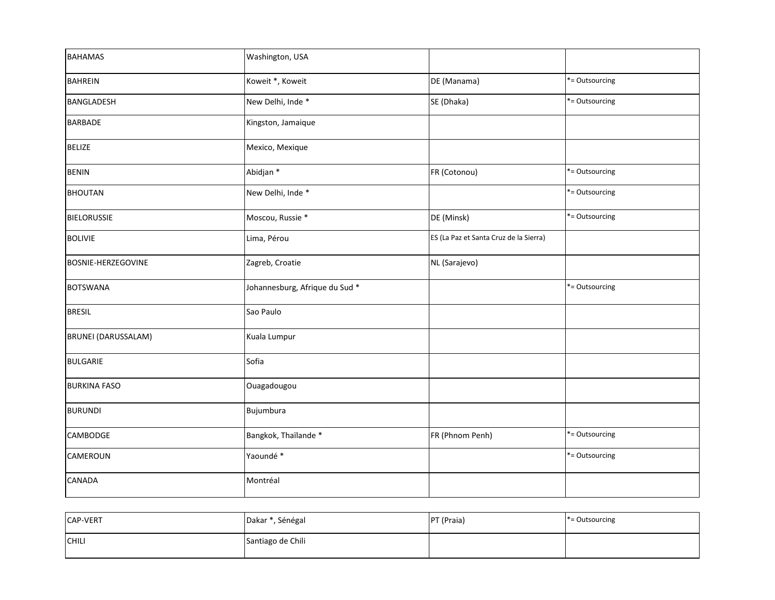| <b>BAHAMAS</b>            | Washington, USA                |                                        |                |
|---------------------------|--------------------------------|----------------------------------------|----------------|
| <b>BAHREIN</b>            | Koweit *, Koweit               | DE (Manama)                            | *= Outsourcing |
| <b>BANGLADESH</b>         | New Delhi, Inde *              | SE (Dhaka)                             | *= Outsourcing |
| <b>BARBADE</b>            | Kingston, Jamaique             |                                        |                |
| <b>BELIZE</b>             | Mexico, Mexique                |                                        |                |
| <b>BENIN</b>              | Abidjan *                      | FR (Cotonou)                           | *= Outsourcing |
| <b>BHOUTAN</b>            | New Delhi, Inde *              |                                        | *= Outsourcing |
| <b>BIELORUSSIE</b>        | Moscou, Russie *               | DE (Minsk)                             | *= Outsourcing |
| <b>BOLIVIE</b>            | Lima, Pérou                    | ES (La Paz et Santa Cruz de la Sierra) |                |
| <b>BOSNIE-HERZEGOVINE</b> | Zagreb, Croatie                | NL (Sarajevo)                          |                |
| <b>BOTSWANA</b>           | Johannesburg, Afrique du Sud * |                                        | *= Outsourcing |
| <b>BRESIL</b>             | Sao Paulo                      |                                        |                |
| BRUNEI (DARUSSALAM)       | Kuala Lumpur                   |                                        |                |
| <b>BULGARIE</b>           | Sofia                          |                                        |                |
| <b>BURKINA FASO</b>       | Ouagadougou                    |                                        |                |
| <b>BURUNDI</b>            | Bujumbura                      |                                        |                |
| <b>CAMBODGE</b>           | Bangkok, Thaïlande *           | FR (Phnom Penh)                        | *= Outsourcing |
| CAMEROUN                  | Yaoundé *                      |                                        | *= Outsourcing |
| <b>CANADA</b>             | Montréal                       |                                        |                |

| <b>CAP-VERT</b> | Dakar *, Sénégal  | PT (Praia) | $* =$ Outsourcing |
|-----------------|-------------------|------------|-------------------|
| CHILI           | Santiago de Chili |            |                   |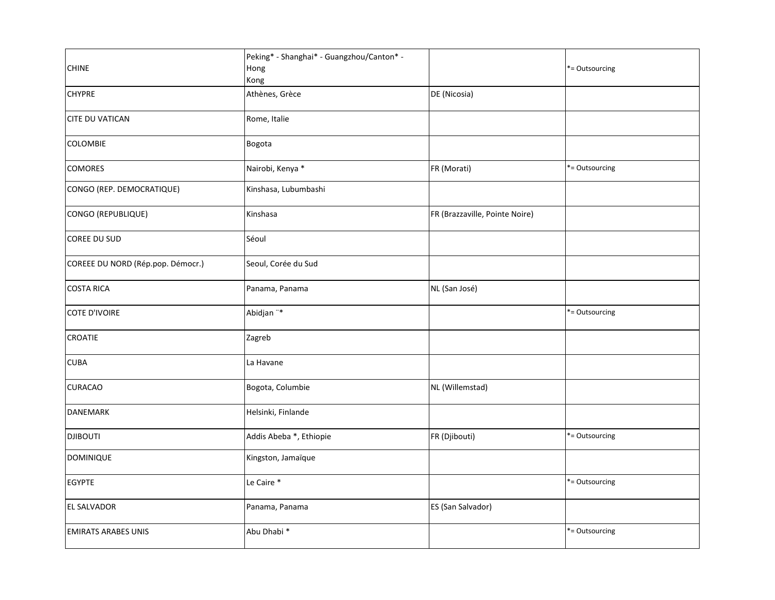| <b>CHINE</b>                      | Peking* - Shanghai* - Guangzhou/Canton* -<br>Hong<br>Kong |                                | *= Outsourcing |
|-----------------------------------|-----------------------------------------------------------|--------------------------------|----------------|
| <b>CHYPRE</b>                     | Athènes, Grèce                                            | DE (Nicosia)                   |                |
| <b>CITE DU VATICAN</b>            | Rome, Italie                                              |                                |                |
| <b>COLOMBIE</b>                   | Bogota                                                    |                                |                |
| COMORES                           | Nairobi, Kenya *                                          | FR (Morati)                    | *= Outsourcing |
| CONGO (REP. DEMOCRATIQUE)         | Kinshasa, Lubumbashi                                      |                                |                |
| CONGO (REPUBLIQUE)                | Kinshasa                                                  | FR (Brazzaville, Pointe Noire) |                |
| COREE DU SUD                      | Séoul                                                     |                                |                |
| COREEE DU NORD (Rép.pop. Démocr.) | Seoul, Corée du Sud                                       |                                |                |
| <b>COSTA RICA</b>                 | Panama, Panama                                            | NL (San José)                  |                |
| <b>COTE D'IVOIRE</b>              | Abidjan "*                                                |                                | *= Outsourcing |
| <b>CROATIE</b>                    | Zagreb                                                    |                                |                |
| <b>CUBA</b>                       | La Havane                                                 |                                |                |
| <b>CURACAO</b>                    | Bogota, Columbie                                          | NL (Willemstad)                |                |
| <b>DANEMARK</b>                   | Helsinki, Finlande                                        |                                |                |
| <b>DJIBOUTI</b>                   | Addis Abeba *, Ethiopie                                   | FR (Djibouti)                  | *= Outsourcing |
| <b>DOMINIQUE</b>                  | Kingston, Jamaïque                                        |                                |                |
| <b>EGYPTE</b>                     | Le Caire *                                                |                                | *= Outsourcing |
| <b>EL SALVADOR</b>                | Panama, Panama                                            | ES (San Salvador)              |                |
| <b>EMIRATS ARABES UNIS</b>        | Abu Dhabi *                                               |                                | *= Outsourcing |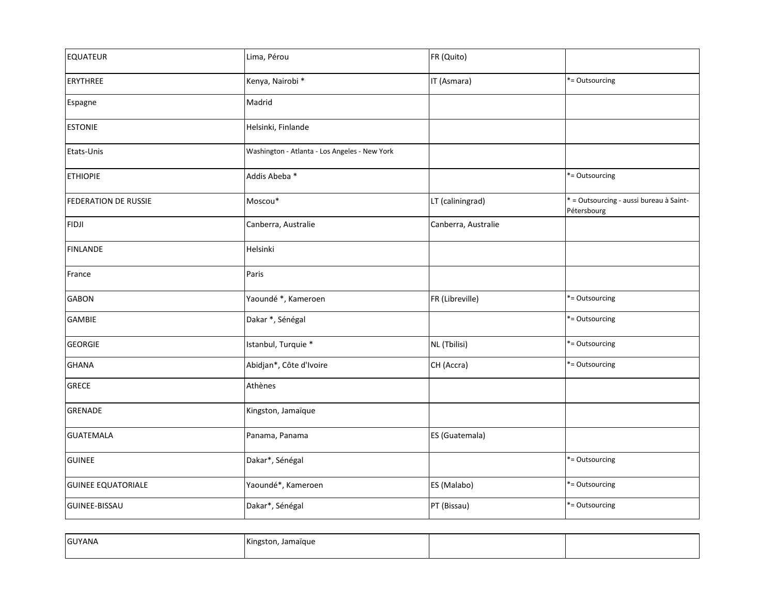| <b>EQUATEUR</b>             | Lima, Pérou                                   | FR (Quito)          |                                                        |
|-----------------------------|-----------------------------------------------|---------------------|--------------------------------------------------------|
| <b>ERYTHREE</b>             | Kenya, Nairobi *                              | IT (Asmara)         | *= Outsourcing                                         |
| Espagne                     | Madrid                                        |                     |                                                        |
| <b>ESTONIE</b>              | Helsinki, Finlande                            |                     |                                                        |
| Etats-Unis                  | Washington - Atlanta - Los Angeles - New York |                     |                                                        |
| <b>ETHIOPIE</b>             | Addis Abeba *                                 |                     | *= Outsourcing                                         |
| <b>FEDERATION DE RUSSIE</b> | Moscou*                                       | LT (caliningrad)    | * = Outsourcing - aussi bureau à Saint-<br>Pétersbourg |
| <b>FIDJI</b>                | Canberra, Australie                           | Canberra, Australie |                                                        |
| <b>FINLANDE</b>             | Helsinki                                      |                     |                                                        |
| France                      | Paris                                         |                     |                                                        |
| <b>GABON</b>                | Yaoundé *, Kameroen                           | FR (Libreville)     | *= Outsourcing                                         |
| <b>GAMBIE</b>               | Dakar *, Sénégal                              |                     | *= Outsourcing                                         |
| <b>GEORGIE</b>              | Istanbul, Turquie *                           | NL (Tbilisi)        | *= Outsourcing                                         |
| <b>GHANA</b>                | Abidjan*, Côte d'Ivoire                       | CH (Accra)          | *= Outsourcing                                         |
| <b>GRECE</b>                | Athènes                                       |                     |                                                        |
| <b>GRENADE</b>              | Kingston, Jamaïque                            |                     |                                                        |
| <b>GUATEMALA</b>            | Panama, Panama                                | ES (Guatemala)      |                                                        |
| <b>GUINEE</b>               | Dakar*, Sénégal                               |                     | *= Outsourcing                                         |
| <b>GUINEE EQUATORIALE</b>   | Yaoundé*, Kameroen                            | ES (Malabo)         | *= Outsourcing                                         |
| <b>GUINEE-BISSAU</b>        | Dakar*, Sénégal                               | PT (Bissau)         | *= Outsourcing                                         |

| <b>GUYANA</b> | Kingston, Jamaïque<br>, |  |
|---------------|-------------------------|--|
|               |                         |  |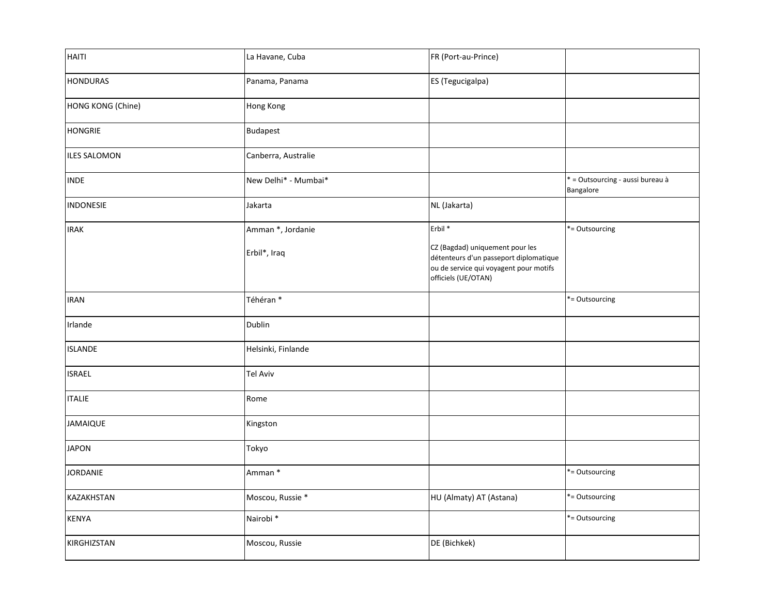| HAITI               | La Havane, Cuba      | FR (Port-au-Prince)                                                                                                                        |                                               |
|---------------------|----------------------|--------------------------------------------------------------------------------------------------------------------------------------------|-----------------------------------------------|
| <b>HONDURAS</b>     | Panama, Panama       | ES (Tegucigalpa)                                                                                                                           |                                               |
| HONG KONG (Chine)   | Hong Kong            |                                                                                                                                            |                                               |
| <b>HONGRIE</b>      | Budapest             |                                                                                                                                            |                                               |
| <b>ILES SALOMON</b> | Canberra, Australie  |                                                                                                                                            |                                               |
| <b>INDE</b>         | New Delhi* - Mumbai* |                                                                                                                                            | * = Outsourcing - aussi bureau à<br>Bangalore |
| <b>INDONESIE</b>    | Jakarta              | NL (Jakarta)                                                                                                                               |                                               |
| <b>IRAK</b>         | Amman *, Jordanie    | Erbil <sup>*</sup>                                                                                                                         | *= Outsourcing                                |
|                     | Erbil*, Iraq         | CZ (Bagdad) uniquement pour les<br>détenteurs d'un passeport diplomatique<br>ou de service qui voyagent pour motifs<br>officiels (UE/OTAN) |                                               |
| <b>IRAN</b>         | Téhéran*             |                                                                                                                                            | *= Outsourcing                                |
| Irlande             | <b>Dublin</b>        |                                                                                                                                            |                                               |
| <b>ISLANDE</b>      | Helsinki, Finlande   |                                                                                                                                            |                                               |
| <b>ISRAEL</b>       | <b>Tel Aviv</b>      |                                                                                                                                            |                                               |
| <b>ITALIE</b>       | Rome                 |                                                                                                                                            |                                               |
| JAMAIQUE            | Kingston             |                                                                                                                                            |                                               |
| <b>JAPON</b>        | Tokyo                |                                                                                                                                            |                                               |
| JORDANIE            | Amman *              |                                                                                                                                            | *= Outsourcing                                |
| KAZAKHSTAN          | Moscou, Russie *     | HU (Almaty) AT (Astana)                                                                                                                    | *= Outsourcing                                |
| <b>KENYA</b>        | Nairobi <sup>*</sup> |                                                                                                                                            | *= Outsourcing                                |
| KIRGHIZSTAN         | Moscou, Russie       | DE (Bichkek)                                                                                                                               |                                               |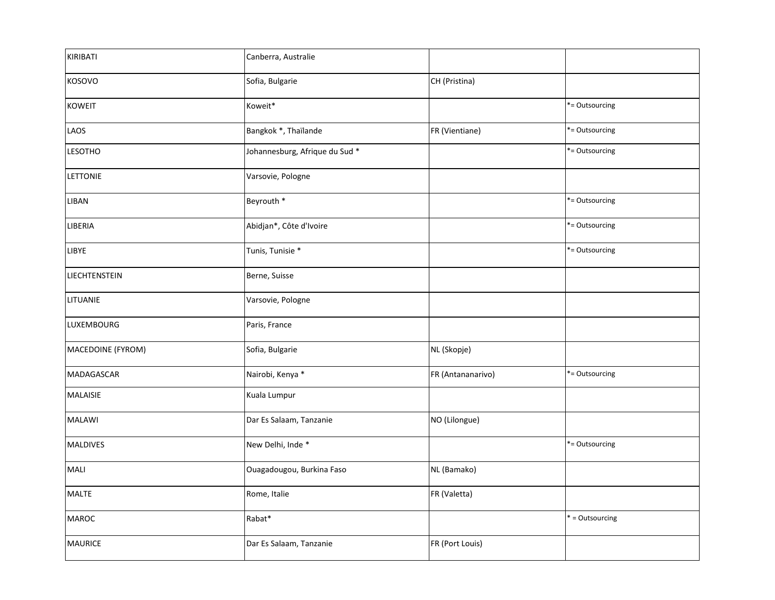| KIRIBATI          | Canberra, Australie                       |                   |                 |
|-------------------|-------------------------------------------|-------------------|-----------------|
| KOSOVO            | Sofia, Bulgarie                           | CH (Pristina)     |                 |
| <b>KOWEIT</b>     | Koweit*                                   |                   | *= Outsourcing  |
| LAOS              | Bangkok *, Thaïlande                      | FR (Vientiane)    | *= Outsourcing  |
| <b>LESOTHO</b>    | Johannesburg, Afrique du Sud <sup>*</sup> |                   | *= Outsourcing  |
| LETTONIE          | Varsovie, Pologne                         |                   |                 |
| LIBAN             | Beyrouth *                                |                   | *= Outsourcing  |
| LIBERIA           | Abidjan*, Côte d'Ivoire                   |                   | *= Outsourcing  |
| LIBYE             | Tunis, Tunisie *                          |                   | *= Outsourcing  |
| LIECHTENSTEIN     | Berne, Suisse                             |                   |                 |
| LITUANIE          | Varsovie, Pologne                         |                   |                 |
| LUXEMBOURG        | Paris, France                             |                   |                 |
| MACEDOINE (FYROM) | Sofia, Bulgarie                           | NL (Skopje)       |                 |
| MADAGASCAR        | Nairobi, Kenya *                          | FR (Antananarivo) | *= Outsourcing  |
| <b>MALAISIE</b>   | Kuala Lumpur                              |                   |                 |
| <b>MALAWI</b>     | Dar Es Salaam, Tanzanie                   | NO (Lilongue)     |                 |
| <b>MALDIVES</b>   | New Delhi, Inde *                         |                   | *= Outsourcing  |
| <b>MALI</b>       | Ouagadougou, Burkina Faso                 | NL (Bamako)       |                 |
| <b>MALTE</b>      | Rome, Italie                              | FR (Valetta)      |                 |
| <b>MAROC</b>      | Rabat*                                    |                   | * = Outsourcing |
| <b>MAURICE</b>    | Dar Es Salaam, Tanzanie                   | FR (Port Louis)   |                 |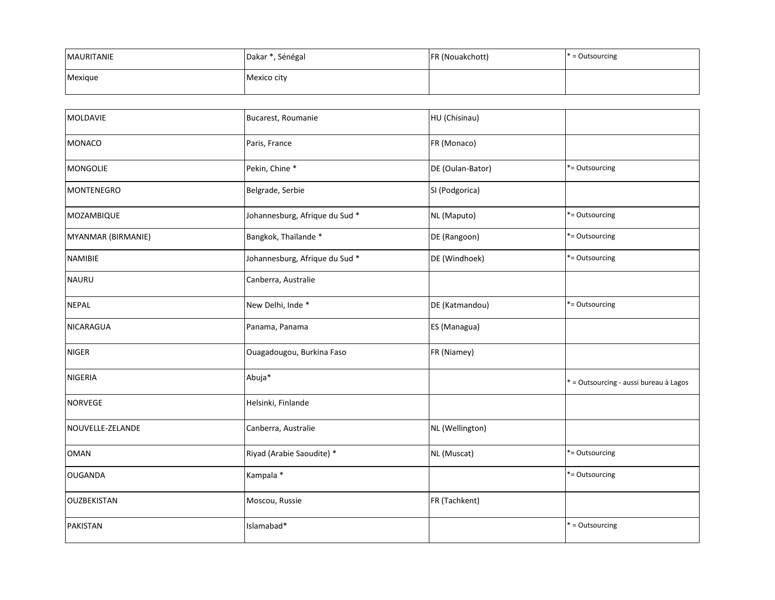| <b>MAURITANIE</b> | Dakar *, Sénégal | FR (Nouakchott) | $* =$ Outsourcing |
|-------------------|------------------|-----------------|-------------------|
| Mexique           | Mexico city      |                 |                   |

| MOLDAVIE           | Bucarest, Roumanie             | HU (Chisinau)    |                                        |
|--------------------|--------------------------------|------------------|----------------------------------------|
| <b>MONACO</b>      | Paris, France                  | FR (Monaco)      |                                        |
| <b>MONGOLIE</b>    | Pekin, Chine *                 | DE (Oulan-Bator) | *= Outsourcing                         |
| <b>MONTENEGRO</b>  | Belgrade, Serbie               | SI (Podgorica)   |                                        |
| MOZAMBIQUE         | Johannesburg, Afrique du Sud * | NL (Maputo)      | *= Outsourcing                         |
| MYANMAR (BIRMANIE) | Bangkok, Thaïlande *           | DE (Rangoon)     | *= Outsourcing                         |
| <b>NAMIBIE</b>     | Johannesburg, Afrique du Sud * | DE (Windhoek)    | *= Outsourcing                         |
| <b>NAURU</b>       | Canberra, Australie            |                  |                                        |
| <b>NEPAL</b>       | New Delhi, Inde *              | DE (Katmandou)   | *= Outsourcing                         |
| <b>NICARAGUA</b>   | Panama, Panama                 | ES (Managua)     |                                        |
| <b>NIGER</b>       | Ouagadougou, Burkina Faso      | FR (Niamey)      |                                        |
| <b>NIGERIA</b>     | Abuja*                         |                  | * = Outsourcing - aussi bureau à Lagos |
| <b>NORVEGE</b>     | Helsinki, Finlande             |                  |                                        |
| NOUVELLE-ZELANDE   | Canberra, Australie            | NL (Wellington)  |                                        |
| <b>OMAN</b>        | Riyad (Arabie Saoudite) *      | NL (Muscat)      | *= Outsourcing                         |
| <b>OUGANDA</b>     | Kampala *                      |                  | *= Outsourcing                         |
| <b>OUZBEKISTAN</b> | Moscou, Russie                 | FR (Tachkent)    |                                        |
| <b>PAKISTAN</b>    | Islamabad*                     |                  | * = Outsourcing                        |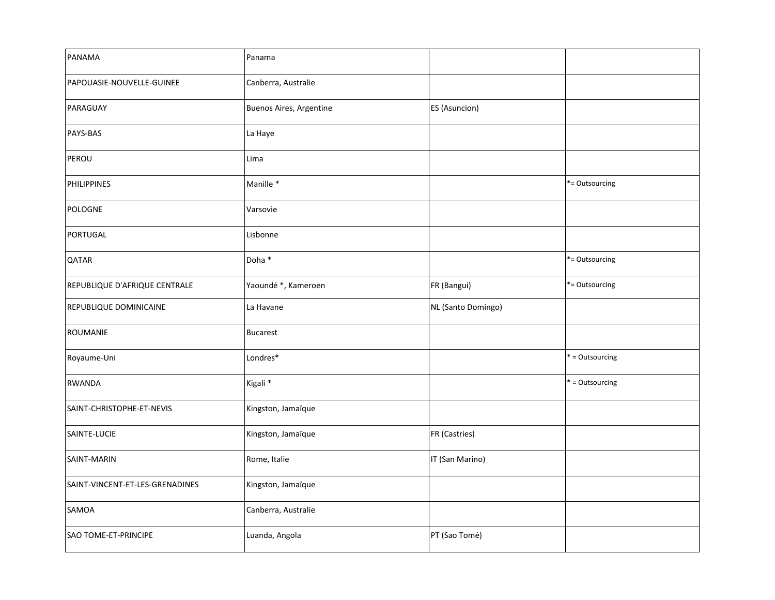| PANAMA                          | Panama                  |                    |                 |
|---------------------------------|-------------------------|--------------------|-----------------|
| PAPOUASIE-NOUVELLE-GUINEE       | Canberra, Australie     |                    |                 |
| PARAGUAY                        | Buenos Aires, Argentine | ES (Asuncion)      |                 |
| PAYS-BAS                        | La Haye                 |                    |                 |
| PEROU                           | Lima                    |                    |                 |
| <b>PHILIPPINES</b>              | Manille *               |                    | *= Outsourcing  |
| POLOGNE                         | Varsovie                |                    |                 |
| PORTUGAL                        | Lisbonne                |                    |                 |
| QATAR                           | Doha *                  |                    | *= Outsourcing  |
| REPUBLIQUE D'AFRIQUE CENTRALE   | Yaoundé *, Kameroen     | FR (Bangui)        | *= Outsourcing  |
| REPUBLIQUE DOMINICAINE          | La Havane               | NL (Santo Domingo) |                 |
| <b>ROUMANIE</b>                 | <b>Bucarest</b>         |                    |                 |
| Royaume-Uni                     | Londres*                |                    | * = Outsourcing |
| <b>RWANDA</b>                   | Kigali <sup>*</sup>     |                    | * = Outsourcing |
| SAINT-CHRISTOPHE-ET-NEVIS       | Kingston, Jamaïque      |                    |                 |
| SAINTE-LUCIE                    | Kingston, Jamaïque      | FR (Castries)      |                 |
| SAINT-MARIN                     | Rome, Italie            | IT (San Marino)    |                 |
| SAINT-VINCENT-ET-LES-GRENADINES | Kingston, Jamaïque      |                    |                 |
| SAMOA                           | Canberra, Australie     |                    |                 |
| SAO TOME-ET-PRINCIPE            | Luanda, Angola          | PT (Sao Tomé)      |                 |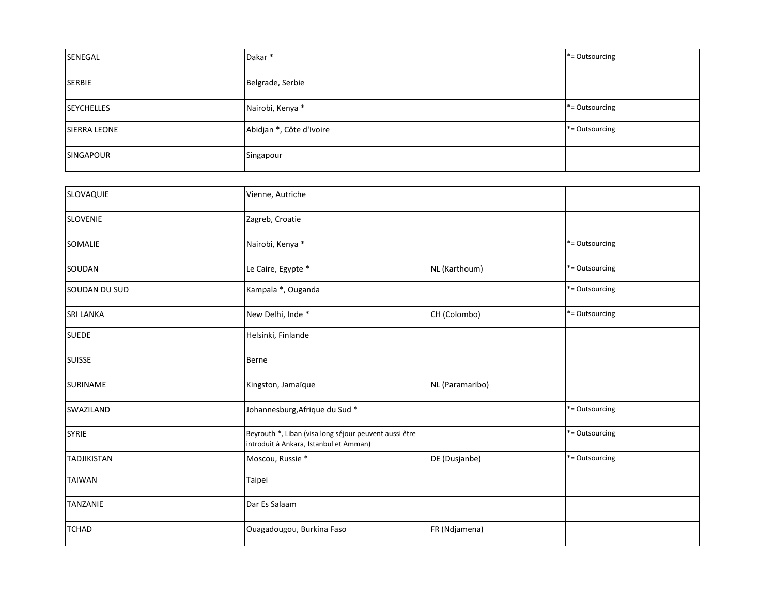| SENEGAL             | Dakar <sup>*</sup>       | *= Outsourcing    |
|---------------------|--------------------------|-------------------|
| <b>SERBIE</b>       | Belgrade, Serbie         |                   |
| <b>SEYCHELLES</b>   | Nairobi, Kenya *         | *= Outsourcing    |
| <b>SIERRA LEONE</b> | Abidjan *, Côte d'Ivoire | $* =$ Outsourcing |
| <b>SINGAPOUR</b>    | Singapour                |                   |

| SLOVAQUIE          | Vienne, Autriche                                                                                 |                 |                |
|--------------------|--------------------------------------------------------------------------------------------------|-----------------|----------------|
| <b>SLOVENIE</b>    | Zagreb, Croatie                                                                                  |                 |                |
| SOMALIE            | Nairobi, Kenya *                                                                                 |                 | *= Outsourcing |
| SOUDAN             | Le Caire, Egypte *                                                                               | NL (Karthoum)   | *= Outsourcing |
| SOUDAN DU SUD      | Kampala *, Ouganda                                                                               |                 | *= Outsourcing |
| <b>SRI LANKA</b>   | New Delhi, Inde *                                                                                | CH (Colombo)    | *= Outsourcing |
| <b>SUEDE</b>       | Helsinki, Finlande                                                                               |                 |                |
| <b>SUISSE</b>      | Berne                                                                                            |                 |                |
| <b>SURINAME</b>    | Kingston, Jamaïque                                                                               | NL (Paramaribo) |                |
| SWAZILAND          | Johannesburg, Afrique du Sud *                                                                   |                 | *= Outsourcing |
| <b>SYRIE</b>       | Beyrouth *, Liban (visa long séjour peuvent aussi être<br>introduit à Ankara, Istanbul et Amman) |                 | *= Outsourcing |
| <b>TADJIKISTAN</b> | Moscou, Russie *                                                                                 | DE (Dusjanbe)   | *= Outsourcing |
| <b>TAIWAN</b>      | Taipei                                                                                           |                 |                |
| <b>TANZANIE</b>    | Dar Es Salaam                                                                                    |                 |                |
| <b>TCHAD</b>       | Ouagadougou, Burkina Faso                                                                        | FR (Ndjamena)   |                |